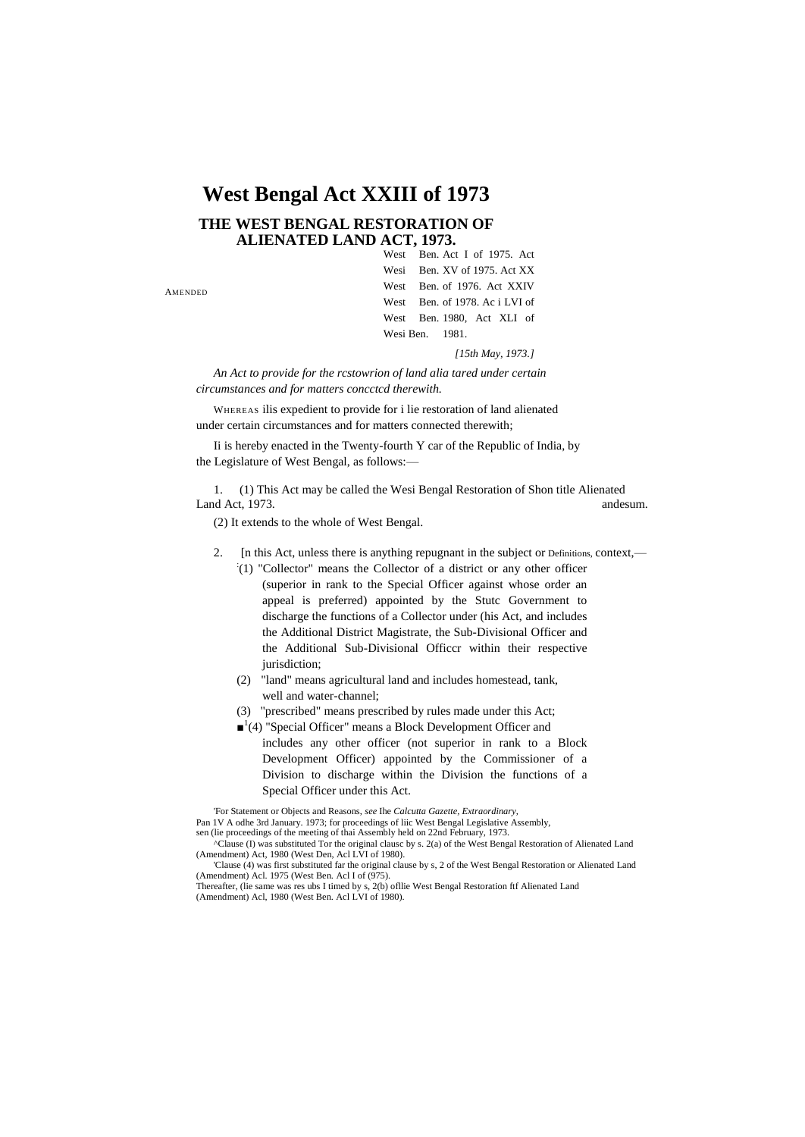# **West Bengal Act XXIII of 1973**

### **THE WEST BENGAL RESTORATION OF ALIENATED LAND ACT, 1973.**

AMENDED

West Ben. Act I of 1975. Act Wesi Ben. XV of 1975. Act XX West Ben. of 1976. Act XXIV West Ben. of 1978. Ac i LVI of West Ben. 1980, Act XLI of Wesi Ben. 1981.

*[15th May, 1973.]*

*An Act to provide for the rcstowrion of land alia tared under certain circumstances and for matters concctcd therewith.*

WHEREAS ilis expedient to provide for i lie restoration of land alienated under certain circumstances and for matters connected therewith;

Ii is hereby enacted in the Twenty-fourth Y car of the Republic of India, by the Legislature of West Bengal, as follows:—

1. (1) This Act may be called the Wesi Bengal Restoration of Shon title Alienated Land Act, 1973. **and Act 1973. and Act 1973. and Act 1973. and Act 1973. and Act 1973. and Act 1973. and Act 1973.** 

(2) It extends to the whole of West Bengal.

- 2. [n this Act, unless there is anything repugnant in the subject or Definitions, context,—
	- : (1) "Collector" means the Collector of a district or any other officer (superior in rank to the Special Officer against whose order an appeal is preferred) appointed by the Stutc Government to discharge the functions of a Collector under (his Act, and includes the Additional District Magistrate, the Sub-Divisional Officer and the Additional Sub-Divisional Officcr within their respective jurisdiction:
	- (2) "land" means agricultural land and includes homestead, tank, well and water-channel;
	- (3) "prescribed" means prescribed by rules made under this Act;
	- ■<sup>1</sup>(4) "Special Officer" means a Block Development Officer and includes any other officer (not superior in rank to a Block Development Officer) appointed by the Commissioner of a Division to discharge within the Division the functions of a Special Officer under this Act.

'For Statement or Objects and Reasons, *see* Ihe *Calcutta Gazette, Extraordinary,*

Pan 1V A odhe 3rd January. 1973; for proceedings of liic West Bengal Legislative Assembly, sen (lie proceedings of the meeting of thai Assembly held on 22nd February, 1973.

^Clause (I) was substituted Tor the original clausc by s. 2(a) of the West Bengal Restoration of Alienated Land (Amendment) Act, 1980 (West Den, Acl LVI of 1980).

'Clause (4) was first substituted far the original clause by s, 2 of the West Bengal Restoration or Alienated Land (Amendment) Acl. 1975 (West Ben. Acl I of (975).

Thereafter, (lie same was res ubs I timed by s, 2(b) ofllie West Bengal Restoration ftf Alienated Land (Amendment) Acl, 1980 (West Ben. Acl LVI of 1980).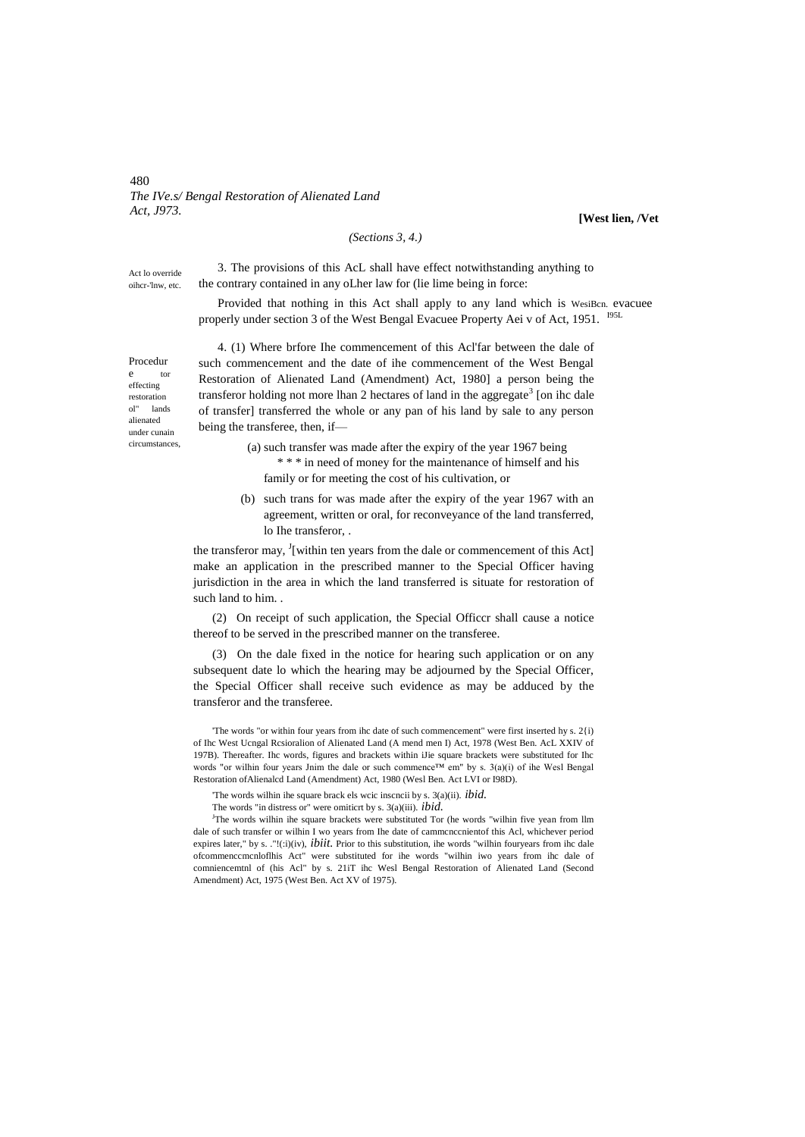480 *The IVe.s/ Bengal Restoration of Alienated Land Act, J973.*

#### *(Sections 3, 4.)*

**[West lien, /Vet**

Act lo override oihcr-'lnw, etc.

the contrary contained in any oLher law for (lie lime being in force:

3. The provisions of this AcL shall have effect notwithstanding anything to

Provided that nothing in this Act shall apply to any land which is WesiBcn. evacuee properly under section 3 of the West Bengal Evacuee Property Aei v of Act, 1951. <sup>1951.</sup>

Procedur e tor effecting restoration ol" lands alienated under cunain circumstances,

4. (1) Where brfore Ihe commencement of this Acl'far between the dale of such commencement and the date of ihe commencement of the West Bengal Restoration of Alienated Land (Amendment) Act, 1980] a person being the transferor holding not more lhan 2 hectares of land in the aggregate<sup>3</sup> [on ihc dale of transfer] transferred the whole or any pan of his land by sale to any person being the transferee, then, if—

> (a) such transfer was made after the expiry of the year 1967 being \* \* \* in need of money for the maintenance of himself and his family or for meeting the cost of his cultivation, or

(b) such trans for was made after the expiry of the year 1967 with an agreement, written or oral, for reconveyance of the land transferred, lo Ihe transferor, .

the transferor may,  $\frac{1}{2}$  [within ten years from the dale or commencement of this Act] make an application in the prescribed manner to the Special Officer having jurisdiction in the area in which the land transferred is situate for restoration of such land to him. .

(2) On receipt of such application, the Special Officcr shall cause a notice thereof to be served in the prescribed manner on the transferee.

(3) On the dale fixed in the notice for hearing such application or on any subsequent date lo which the hearing may be adjourned by the Special Officer, the Special Officer shall receive such evidence as may be adduced by the transferor and the transferee.

'The words "or within four years from ihc date of such commencement" were first inserted hy s. 2{i) of Ihc West Ucngal Rcsioralion of Alienated Land (A mend men I) Act, 1978 (West Ben. AcL XXIV of 197B). Thereafter. Ihc words, figures and brackets within iJie square brackets were substituted for Ihc words "or wilhin four years Jnim the dale or such commence™ em" by s. 3(a)(i) of ihe Wesl Bengal Restoration ofAlienalcd Land (Amendment) Act, 1980 (Wesl Ben. Act LVI or I98D).

'The words wilhin ihe square brack els wcic inscncii by s. 3(a)(ii). *ibid.*

<sup>J</sup>The words wilhin ihe square brackets were substituted Tor (he words "wilhin five yean from llm dale of such transfer or wilhin I wo years from Ihe date of cammcnccnientof this Acl, whichever period expires later," by s. ."!(:i)(iv), *ibiit.* Prior to this substitution, ihe words "wilhin fouryears from ihc dale ofcommenccmcnloflhis Act" were substituted for ihe words "wilhin iwo years from ihc dale of comniencemtnl of (his Acl" by s. 21iT ihc Wesl Bengal Restoration of Alienated Land (Second Amendment) Act, 1975 (West Ben. Act XV of 1975).

The words "in distress or" were omiticrt by s. 3(a)(iii). *ibid.*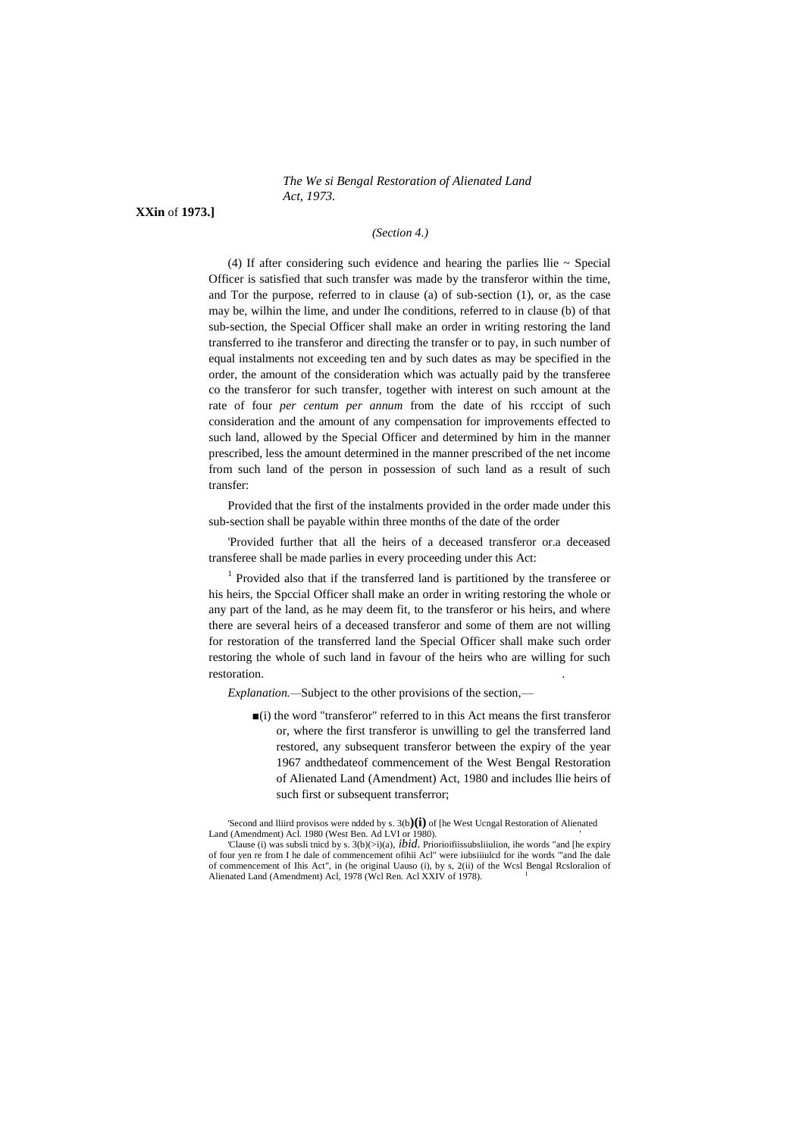*The We si Bengal Restoration of Alienated Land Act, 1973.*

**XXin** of **1973.]**

#### *(Section 4.)*

(4) If after considering such evidence and hearing the parlies llie  $\sim$  Special Officer is satisfied that such transfer was made by the transferor within the time, and Tor the purpose, referred to in clause (a) of sub-section (1), or, as the case may be, wilhin the lime, and under Ihe conditions, referred to in clause (b) of that sub-section, the Special Officer shall make an order in writing restoring the land transferred to ihe transferor and directing the transfer or to pay, in such number of equal instalments not exceeding ten and by such dates as may be specified in the order, the amount of the consideration which was actually paid by the transferee co the transferor for such transfer, together with interest on such amount at the rate of four *per centum per annum* from the date of his rcccipt of such consideration and the amount of any compensation for improvements effected to such land, allowed by the Special Officer and determined by him in the manner prescribed, less the amount determined in the manner prescribed of the net income from such land of the person in possession of such land as a result of such transfer:

Provided that the first of the instalments provided in the order made under this sub-section shall be payable within three months of the date of the order

'Provided further that all the heirs of a deceased transferor or.a deceased transferee shall be made parlies in every proceeding under this Act:

<sup>1</sup> Provided also that if the transferred land is partitioned by the transferee or his heirs, the Spccial Officer shall make an order in writing restoring the whole or any part of the land, as he may deem fit, to the transferor or his heirs, and where there are several heirs of a deceased transferor and some of them are not willing for restoration of the transferred land the Special Officer shall make such order restoring the whole of such land in favour of the heirs who are willing for such restoration. .

*Explanation.—*Subject to the other provisions of the section,—

■(i) the word "transferor" referred to in this Act means the first transferor or, where the first transferor is unwilling to gel the transferred land restored, any subsequent transferor between the expiry of the year 1967 andthedateof commencement of the West Bengal Restoration of Alienated Land (Amendment) Act, 1980 and includes llie heirs of such first or subsequent transferror;

'Second and lliird provisos were ndded by s. 3(b**)(i)** of [he West Ucngal Restoration of Alienated Land (Amendment) Acl. 1980 (West Ben. Ad LVI or 1980).

<sup>&#</sup>x27;Clause (i) was subsli tnicd by s. 3(b)(>i)(a), *ibid.* Priorioifiissubsliiulion, ihe words "and [he expiry of four yen re from I he dale of commencement ofihii Acl" were iubsiiiulcd for ihe words '"and Ihe dale of commencement of Ihis Act", in (he original Uauso (i), by s, 2(ii) of the Wcsl Bengal Rcsloralion of Alienated Land (Amendment) Acl, 1978 (Wcl Ren. Acl XXIV of 1978).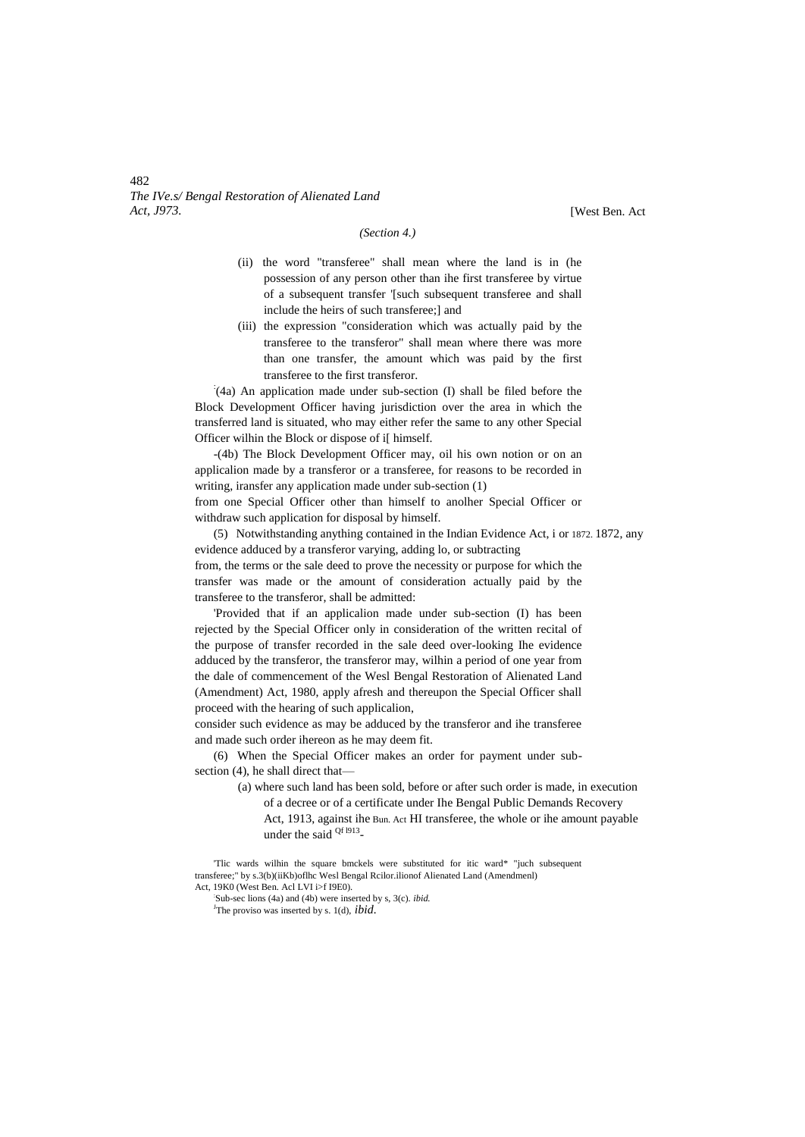482 *The IVe.s/ Bengal Restoration of Alienated Land Act, J973.* [West Ben. Act

#### *(Section 4.)*

- (ii) the word "transferee" shall mean where the land is in (he possession of any person other than ihe first transferee by virtue of a subsequent transfer '[such subsequent transferee and shall include the heirs of such transferee;] and
- (iii) the expression "consideration which was actually paid by the transferee to the transferor" shall mean where there was more than one transfer, the amount which was paid by the first transferee to the first transferor.

: (4a) An application made under sub-section (I) shall be filed before the Block Development Officer having jurisdiction over the area in which the transferred land is situated, who may either refer the same to any other Special Officer wilhin the Block or dispose of i[ himself.

-(4b) The Block Development Officer may, oil his own notion or on an applicalion made by a transferor or a transferee, for reasons to be recorded in writing, iransfer any application made under sub-section (1)

from one Special Officer other than himself to anolher Special Officer or withdraw such application for disposal by himself.

(5) Notwithstanding anything contained in the Indian Evidence Act, i or 1872. 1872, any evidence adduced by a transferor varying, adding lo, or subtracting from, the terms or the sale deed to prove the necessity or purpose for which the transfer was made or the amount of consideration actually paid by the

transferee to the transferor, shall be admitted: 'Provided that if an applicalion made under sub-section (I) has been

rejected by the Special Officer only in consideration of the written recital of the purpose of transfer recorded in the sale deed over-looking Ihe evidence adduced by the transferor, the transferor may, wilhin a period of one year from the dale of commencement of the Wesl Bengal Restoration of Alienated Land (Amendment) Act, 1980, apply afresh and thereupon the Special Officer shall proceed with the hearing of such applicalion,

consider such evidence as may be adduced by the transferor and ihe transferee and made such order ihereon as he may deem fit.

(6) When the Special Officer makes an order for payment under subsection (4), he shall direct that—

- (a) where such land has been sold, before or after such order is made, in execution of a decree or of a certificate under Ihe Bengal Public Demands Recovery
	- Act, 1913, against ihe Bun. Act HI transferee, the whole or ihe amount payable under the said <sup>Qf 1913</sup>-

<sup>&#</sup>x27;Tlic wards wilhin the square bmckels were substituted for itic ward\* "juch subsequent transferee;" by s.3(b)(iiKb)oflhc Wesl Bengal Rcilor.ilionof Alienated Land (Amendmenl) Act, 19K0 (West Ben. Acl LVI i>f I9E0).

<sup>:</sup> Sub-sec lions (4a) and (4b) were inserted by s, 3(c). *ibid.* <sup>J</sup>The proviso was inserted by s. 1(d), *ibid.*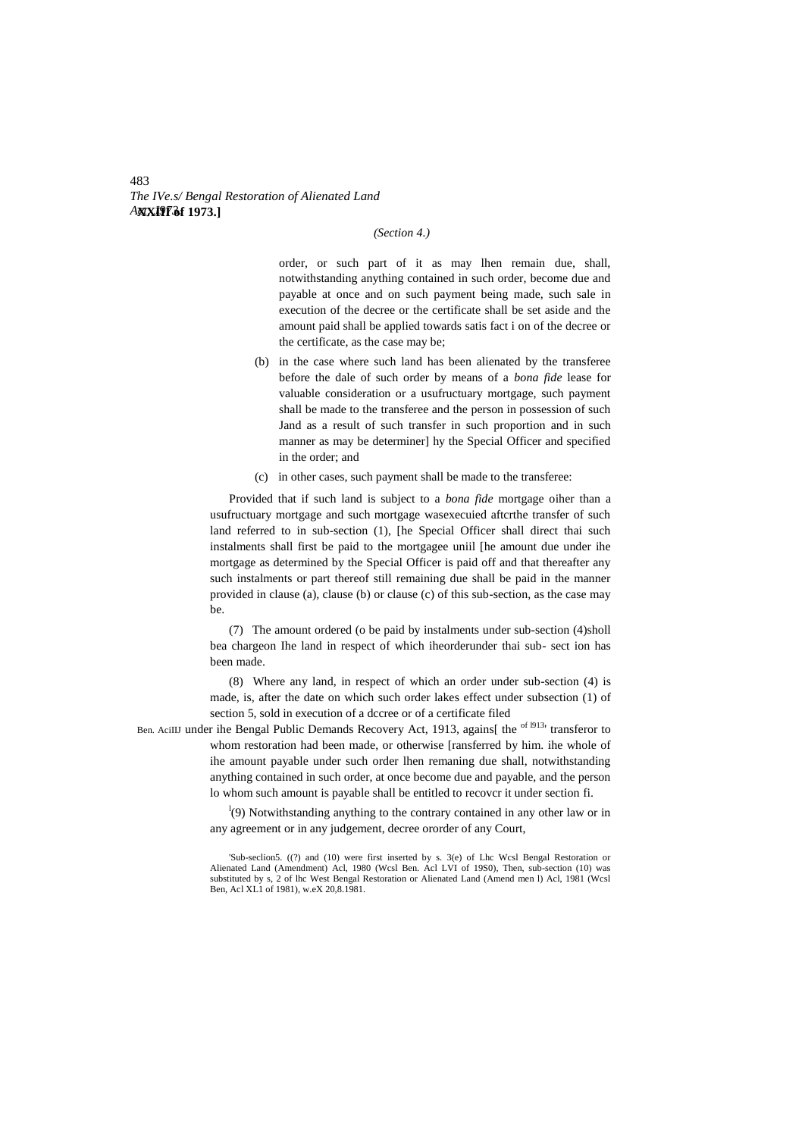*The IVe.s/ Bengal Restoration of Alienated Land Act, J973.* **XXIII of 1973.]**

#### *(Section 4.)*

order, or such part of it as may lhen remain due, shall, notwithstanding anything contained in such order, become due and payable at once and on such payment being made, such sale in execution of the decree or the certificate shall be set aside and the amount paid shall be applied towards satis fact i on of the decree or the certificate, as the case may be;

- (b) in the case where such land has been alienated by the transferee before the dale of such order by means of a *bona fide* lease for valuable consideration or a usufructuary mortgage, such payment shall be made to the transferee and the person in possession of such Jand as a result of such transfer in such proportion and in such manner as may be determiner] hy the Special Officer and specified in the order; and
- (c) in other cases, such payment shall be made to the transferee:

Provided that if such land is subject to a *bona fide* mortgage oiher than a usufructuary mortgage and such mortgage wasexecuied aftcrthe transfer of such land referred to in sub-section (1), [he Special Officer shall direct thai such instalments shall first be paid to the mortgagee uniil [he amount due under ihe mortgage as determined by the Special Officer is paid off and that thereafter any such instalments or part thereof still remaining due shall be paid in the manner provided in clause (a), clause (b) or clause (c) of this sub-section, as the case may be.

(7) The amount ordered (o be paid by instalments under sub-section (4)sholl bea chargeon Ihe land in respect of which iheorderunder thai sub- sect ion has been made.

(8) Where any land, in respect of which an order under sub-section (4) is made, is, after the date on which such order lakes effect under subsection (1) of section 5, sold in execution of a dccree or of a certificate filed

Ben. AciIIJ under ihe Bengal Public Demands Recovery Act, 1913, agains[ the <sup>of 1913</sup>' transferor to whom restoration had been made, or otherwise [ransferred by him. ihe whole of ihe amount payable under such order lhen remaning due shall, notwithstanding anything contained in such order, at once become due and payable, and the person lo whom such amount is payable shall be entitled to recovcr it under section fi.

> $\frac{1}{2}$ (9) Notwithstanding anything to the contrary contained in any other law or in any agreement or in any judgement, decree ororder of any Court,

#### 483

<sup>&#</sup>x27;Sub-seclion5. ((?) and (10) were first inserted by s. 3(e) of Lhc Wcsl Bengal Restoration or Alienated Land (Amendment) Acl, 1980 (Wcsl Ben. Acl LVI of 19S0), Then, sub-section (10) was substituted by s, 2 of lhc West Bengal Restoration or Alienated Land (Amend men l) Acl, 1981 (Wcsl Ben, Acl XL1 of 1981), w.eX 20,8.1981.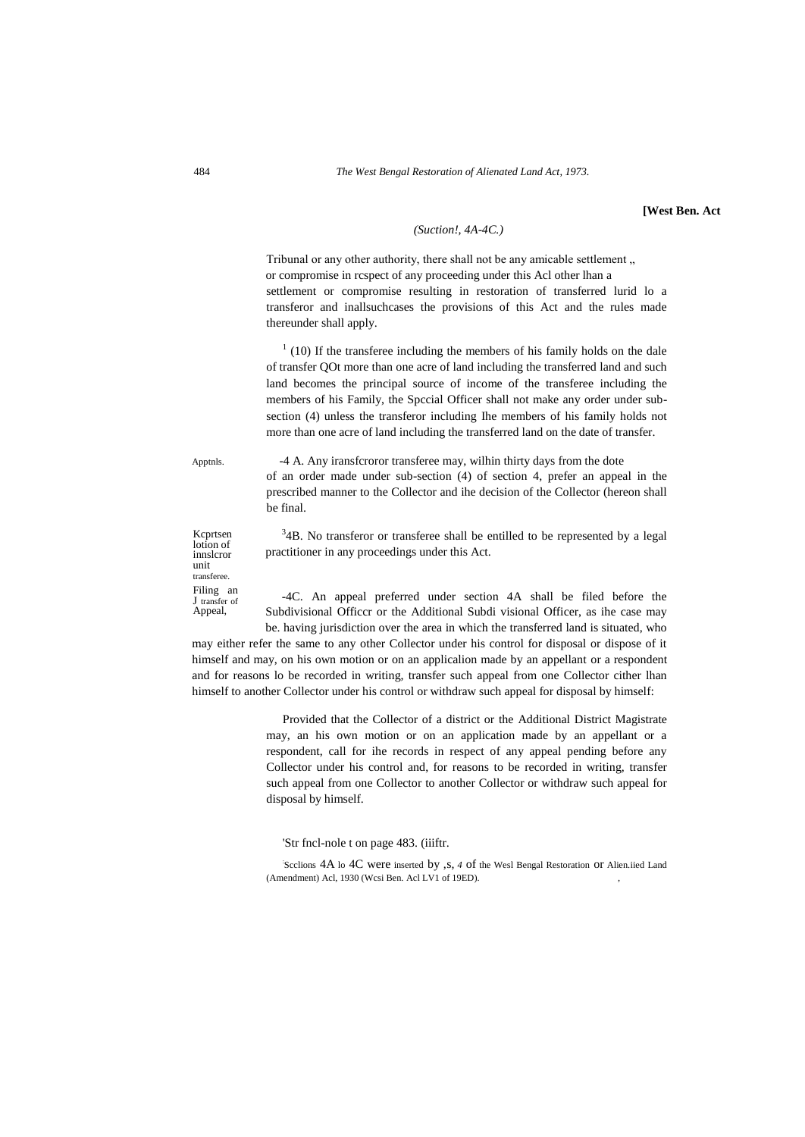#### *(Suction!, 4A-4C.)*

Tribunal or any other authority, there shall not be any amicable settlement, or compromise in rcspect of any proceeding under this Acl other lhan a settlement or compromise resulting in restoration of transferred lurid lo a transferor and inallsuchcases the provisions of this Act and the rules made thereunder shall apply.

 $1(10)$  If the transferee including the members of his family holds on the dale of transfer QOt more than one acre of land including the transferred land and such land becomes the principal source of income of the transferee including the members of his Family, the Spccial Officer shall not make any order under subsection (4) unless the transferor including Ihe members of his family holds not more than one acre of land including the transferred land on the date of transfer.

Apptnls. -4 A. Any iransfcroror transferee may, wilhin thirty days from the dote of an order made under sub-section (4) of section 4, prefer an appeal in the prescribed manner to the Collector and ihe decision of the Collector (hereon shall be final.

Kcprtsen lotion of innslcror unit transferee. Filing an J transfer of Appeal,

 $34B$ . No transferor or transferee shall be entilled to be represented by a legal practitioner in any proceedings under this Act.

-4C. An appeal preferred under section 4A shall be filed before the Subdivisional Officcr or the Additional Subdi visional Officer, as ihe case may be. having jurisdiction over the area in which the transferred land is situated, who

may either refer the same to any other Collector under his control for disposal or dispose of it himself and may, on his own motion or on an applicalion made by an appellant or a respondent and for reasons lo be recorded in writing, transfer such appeal from one Collector cither lhan himself to another Collector under his control or withdraw such appeal for disposal by himself:

> Provided that the Collector of a district or the Additional District Magistrate may, an his own motion or on an application made by an appellant or a respondent, call for ihe records in respect of any appeal pending before any Collector under his control and, for reasons to be recorded in writing, transfer such appeal from one Collector to another Collector or withdraw such appeal for disposal by himself.

'Str fncl-nole t on page 483. (iiiftr.

Scclions 4A lo 4C were inserted by , s, 4 of the Wesl Bengal Restoration Or Alien.iied Land (Amendment) Acl, 1930 (Wcsi Ben. Acl LV1 of 19ED).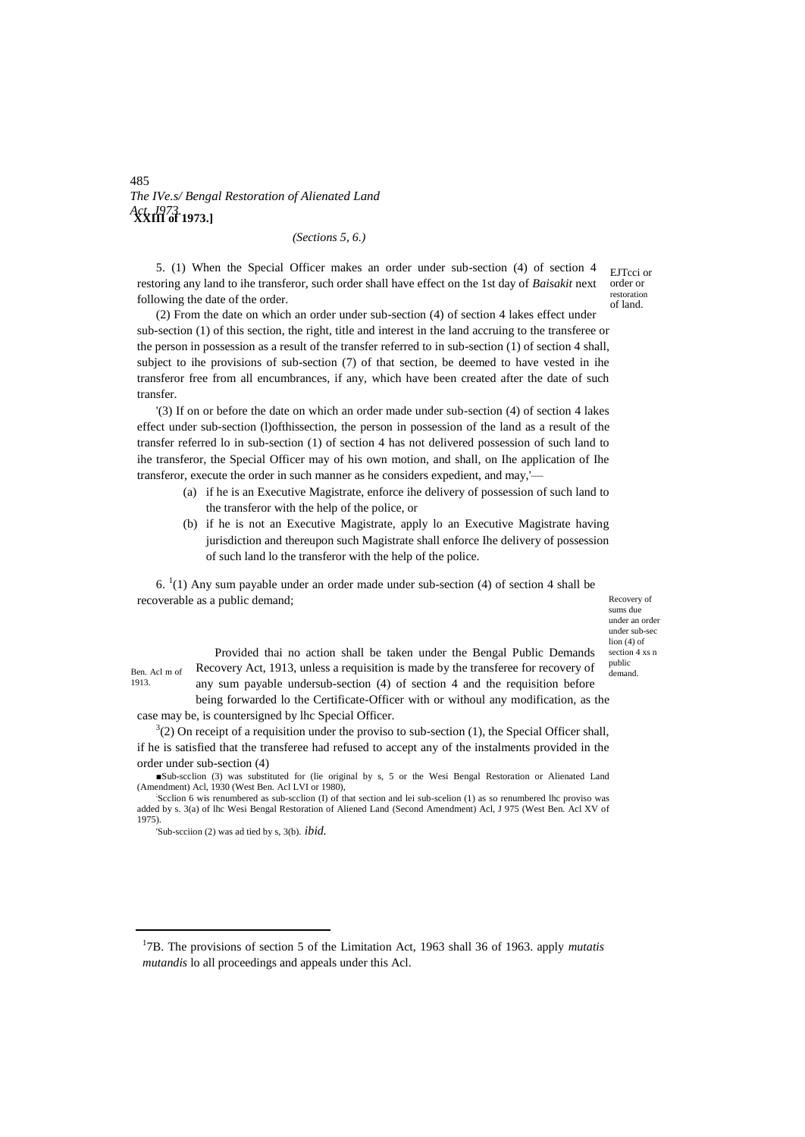## 485 *The IVe.s/ Bengal Restoration of Alienated Land Act, J973.* **XXIII of 1973.]**

*(Sections 5, 6.)*

5. (1) When the Special Officer makes an order under sub-section (4) of section 4 restoring any land to ihe transferor, such order shall have effect on the 1st day of *Baisakit* next following the date of the order.

EJTcci or order or restoration of land.

(2) From the date on which an order under sub-section (4) of section 4 lakes effect under sub-section (1) of this section, the right, title and interest in the land accruing to the transferee or the person in possession as a result of the transfer referred to in sub-section (1) of section 4 shall, subject to ihe provisions of sub-section (7) of that section, be deemed to have vested in ihe transferor free from all encumbrances, if any, which have been created after the date of such transfer.

'(3) If on or before the date on which an order made under sub-section (4) of section 4 lakes effect under sub-section (l)ofthissection, the person in possession of the land as a result of the transfer referred lo in sub-section (1) of section 4 has not delivered possession of such land to ihe transferor, the Special Officer may of his own motion, and shall, on Ihe application of Ihe transferor, execute the order in such manner as he considers expedient, and may,'—

- (a) if he is an Executive Magistrate, enforce ihe delivery of possession of such land to the transferor with the help of the police, or
- (b) if he is not an Executive Magistrate, apply lo an Executive Magistrate having jurisdiction and thereupon such Magistrate shall enforce Ihe delivery of possession of such land lo the transferor with the help of the police.

 $6.$   $(1)$  Any sum payable under an order made under sub-section (4) of section 4 shall be recoverable as a public demand;

Recovery of sums due under an order under sub-sec lion (4) of section 4 xs n public<br>demand

1913.

<u>.</u>

Ben. Acl m of Recovery Act, 1913, unless a requisition is made by the transferee for recovery of  $\frac{\text{p}^{\text{tubic}}}{\text{demand}}$ Provided thai no action shall be taken under the Bengal Public Demands any sum payable undersub-section (4) of section 4 and the requisition before being forwarded lo the Certificate-Officer with or withoul any modification, as the

case may be, is countersigned by lhc Special Officer.

 $3(2)$  On receipt of a requisition under the proviso to sub-section (1), the Special Officer shall, if he is satisfied that the transferee had refused to accept any of the instalments provided in the order under sub-section (4)

'Sub-scciion (2) was ad tied by s, 3(b). *ibid.*

1 7B. The provisions of section 5 of the Limitation Act, 1963 shall 36 of 1963. apply *mutatis mutandis* lo all proceedings and appeals under this Acl.

<sup>■</sup>Sub-scclion (3) was substituted for (lie original by s, 5 or the Wesi Bengal Restoration or Alienated Land (Amendment) Acl, 1930 (West Ben. Acl LVI or 1980),

Scclion 6 wis renumbered as sub-scclion (I) of that section and lei sub-scelion (1) as so renumbered lhc proviso was added by s. 3(a) of lhc Wesi Bengal Restoration of Aliened Land (Second Amendment) Acl, J 975 (West Ben. Acl XV of 1975).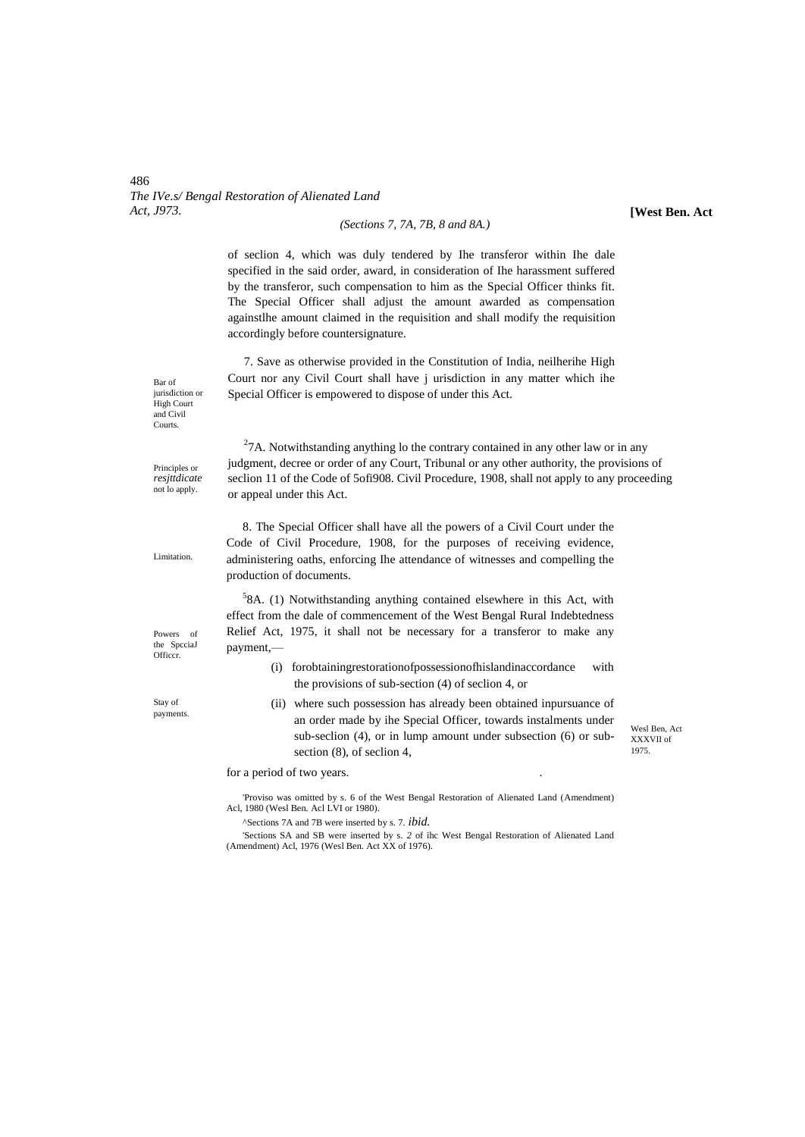#### 486 *The IVe.s/ Bengal Restoration of Alienated Land Act, J973.*

#### *(Sections 7, 7A, 7B, 8 and 8A.)*

of seclion 4, which was duly tendered by Ihe transferor within Ihe dale specified in the said order, award, in consideration of Ihe harassment suffered by the transferor, such compensation to him as the Special Officer thinks fit. The Special Officer shall adjust the amount awarded as compensation againstlhe amount claimed in the requisition and shall modify the requisition accordingly before countersignature.

7. Save as otherwise provided in the Constitution of India, neilherihe High Court nor any Civil Court shall have j urisdiction in any matter which ihe Special Officer is empowered to dispose of under this Act.

jurisdiction or High Court and Civil Courts.

Bar of

Principles or *resjttdicate*  not lo apply.

 $27A$ . Notwithstanding anything lo the contrary contained in any other law or in any judgment, decree or order of any Court, Tribunal or any other authority, the provisions of seclion 11 of the Code of 5ofi908. Civil Procedure, 1908, shall not apply to any proceeding or appeal under this Act.

8. The Special Officer shall have all the powers of a Civil Court under the Code of Civil Procedure, 1908, for the purposes of receiving evidence, administering oaths, enforcing Ihe attendance of witnesses and compelling the production of documents.

Powers of the SpcciaJ Officcr.

Stay of payments.

5 8A. (1) Notwithstanding anything contained elsewhere in this Act, with effect from the dale of commencement of the West Bengal Rural Indebtedness Relief Act, 1975, it shall not be necessary for a transferor to make any payment,—

- (i) forobtainingrestorationofpossessionofhislandinaccordance with the provisions of sub-section (4) of seclion 4, or
- (ii) where such possession has already been obtained inpursuance of an order made by ihe Special Officer, towards instalments under sub-seclion (4), or in lump amount under subsection (6) or subsection (8), of seclion 4,

Wesl Ben, Act XXXVII of 1975.

'Proviso was omitted by s. 6 of the West Bengal Restoration of Alienated Land (Amendment) Acl, 1980 (Wesl Ben. Acl LVI or 1980).

^Sections 7A and 7B were inserted by s. 7. *ibid.*

for a period of two years.

'Sections SA and SB were inserted by s. *2* of ihc West Bengal Restoration of Alienated Land (Amendment) Acl, 1976 (Wesl Ben. Act XX of 1976).

**[West Ben. Act**

Limitation.